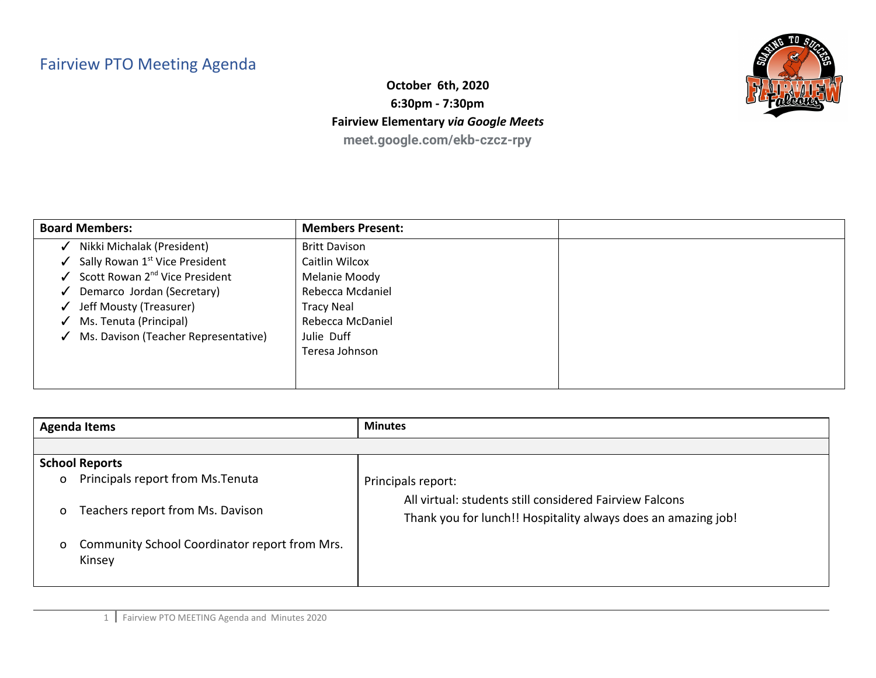## Fairview PTO Meeting Agenda



**October 6th, 2020 6:30pm - 7:30pm Fairview Elementary** *via Google Meets* **meet.google.com/ekb-czcz-rpy**

| <b>Board Members:</b>                                   | <b>Members Present:</b> |  |
|---------------------------------------------------------|-------------------------|--|
| Nikki Michalak (President)<br>$\checkmark$              | <b>Britt Davison</b>    |  |
| $\checkmark$ Sally Rowan 1 <sup>st</sup> Vice President | Caitlin Wilcox          |  |
| $\checkmark$ Scott Rowan 2 <sup>nd</sup> Vice President | Melanie Moody           |  |
| ✔ Demarco Jordan (Secretary)                            | Rebecca Mcdaniel        |  |
| ↓ Jeff Mousty (Treasurer)                               | <b>Tracy Neal</b>       |  |
| $\checkmark$ Ms. Tenuta (Principal)                     | Rebecca McDaniel        |  |
| √ Ms. Davison (Teacher Representative)                  | Julie Duff              |  |
|                                                         | Teresa Johnson          |  |
|                                                         |                         |  |
|                                                         |                         |  |

| <b>Agenda Items</b> |                                                         | <b>Minutes</b>                                                                                                           |
|---------------------|---------------------------------------------------------|--------------------------------------------------------------------------------------------------------------------------|
|                     |                                                         |                                                                                                                          |
|                     | <b>School Reports</b>                                   |                                                                                                                          |
| $\mathsf{o}$        | Principals report from Ms. Tenuta                       | Principals report:                                                                                                       |
| $\mathsf{o}$        | Teachers report from Ms. Davison                        | All virtual: students still considered Fairview Falcons<br>Thank you for lunch!! Hospitality always does an amazing job! |
| $\mathbf{O}$        | Community School Coordinator report from Mrs.<br>Kinsey |                                                                                                                          |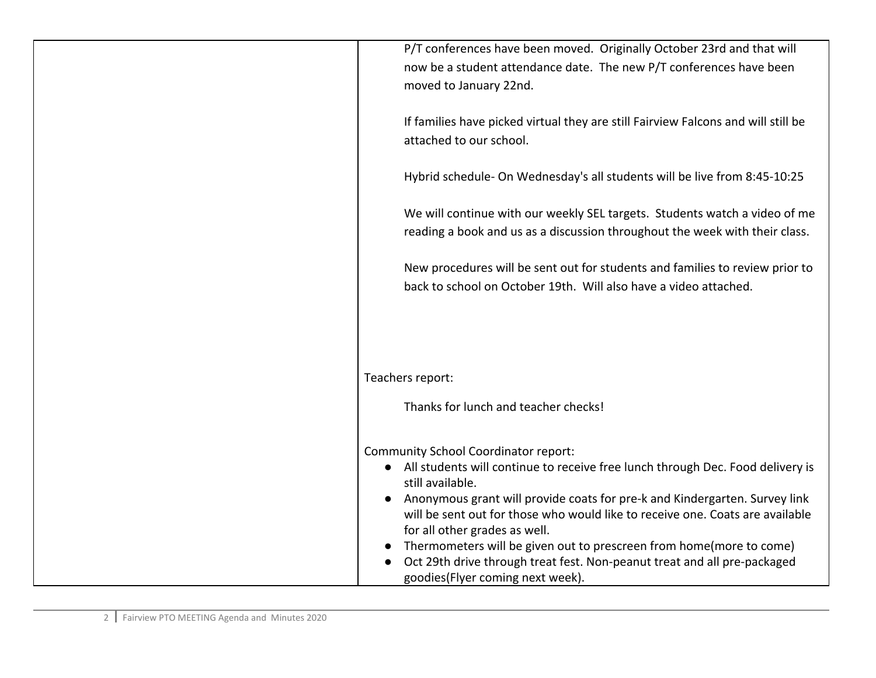| P/T conferences have been moved. Originally October 23rd and that will            |
|-----------------------------------------------------------------------------------|
| now be a student attendance date. The new P/T conferences have been               |
| moved to January 22nd.                                                            |
|                                                                                   |
| If families have picked virtual they are still Fairview Falcons and will still be |
| attached to our school.                                                           |
|                                                                                   |
| Hybrid schedule- On Wednesday's all students will be live from 8:45-10:25         |
|                                                                                   |
| We will continue with our weekly SEL targets. Students watch a video of me        |
| reading a book and us as a discussion throughout the week with their class.       |
|                                                                                   |
| New procedures will be sent out for students and families to review prior to      |
| back to school on October 19th. Will also have a video attached.                  |
|                                                                                   |
|                                                                                   |
|                                                                                   |
|                                                                                   |
| Teachers report:                                                                  |
|                                                                                   |
| Thanks for lunch and teacher checks!                                              |
|                                                                                   |
| <b>Community School Coordinator report:</b>                                       |
| • All students will continue to receive free lunch through Dec. Food delivery is  |
| still available.                                                                  |
| Anonymous grant will provide coats for pre-k and Kindergarten. Survey link        |
| will be sent out for those who would like to receive one. Coats are available     |
| for all other grades as well.                                                     |
| Thermometers will be given out to prescreen from home(more to come)               |
| Oct 29th drive through treat fest. Non-peanut treat and all pre-packaged          |
| goodies(Flyer coming next week).                                                  |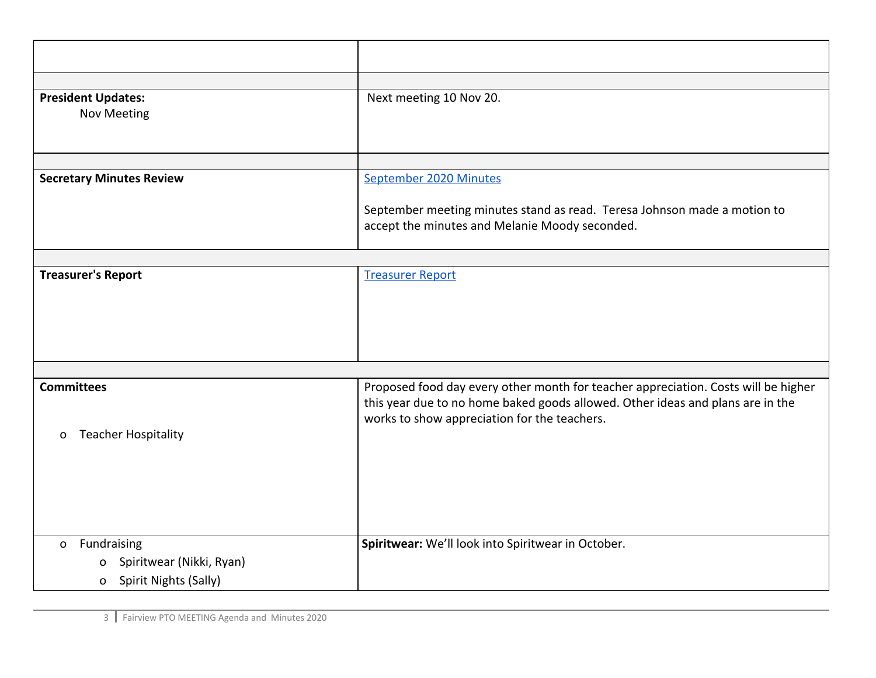| <b>President Updates:</b><br><b>Nov Meeting</b>                 | Next meeting 10 Nov 20.                                                                                                                                                                                              |
|-----------------------------------------------------------------|----------------------------------------------------------------------------------------------------------------------------------------------------------------------------------------------------------------------|
|                                                                 |                                                                                                                                                                                                                      |
| <b>Secretary Minutes Review</b>                                 | September 2020 Minutes                                                                                                                                                                                               |
|                                                                 | September meeting minutes stand as read. Teresa Johnson made a motion to<br>accept the minutes and Melanie Moody seconded.                                                                                           |
|                                                                 |                                                                                                                                                                                                                      |
| <b>Treasurer's Report</b>                                       | <b>Treasurer Report</b>                                                                                                                                                                                              |
|                                                                 |                                                                                                                                                                                                                      |
| <b>Committees</b><br><b>Teacher Hospitality</b><br>$\mathbf{o}$ | Proposed food day every other month for teacher appreciation. Costs will be higher<br>this year due to no home baked goods allowed. Other ideas and plans are in the<br>works to show appreciation for the teachers. |
| Fundraising<br>$\mathbf{O}$                                     | Spiritwear: We'll look into Spiritwear in October.                                                                                                                                                                   |
| Spiritwear (Nikki, Ryan)<br>0<br>Spirit Nights (Sally)<br>o     |                                                                                                                                                                                                                      |